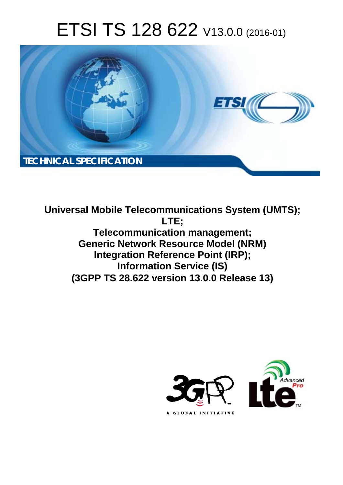# ETSI TS 128 622 V13.0.0 (2016-01)



**Universal Mobile Tel elecommunications System ( (UMTS); Telecomm munication management; Generic Network Resource Model (NRM) Integration Reference Point (IRP); Infor ormation Service (IS) (3GPP TS 28.6 .622 version 13.0.0 Release 13 13) LTE;** 

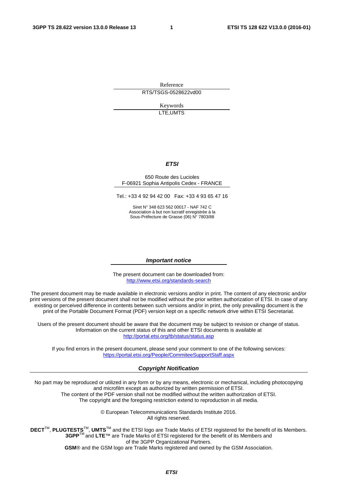Reference RTS/TSGS-0528622vd00

> Keywords LTE,UMTS

#### *ETSI*

#### 650 Route des Lucioles F-06921 Sophia Antipolis Cedex - FRANCE

Tel.: +33 4 92 94 42 00 Fax: +33 4 93 65 47 16

Siret N° 348 623 562 00017 - NAF 742 C Association à but non lucratif enregistrée à la Sous-Préfecture de Grasse (06) N° 7803/88

#### *Important notice*

The present document can be downloaded from: <http://www.etsi.org/standards-search>

The present document may be made available in electronic versions and/or in print. The content of any electronic and/or print versions of the present document shall not be modified without the prior written authorization of ETSI. In case of any existing or perceived difference in contents between such versions and/or in print, the only prevailing document is the print of the Portable Document Format (PDF) version kept on a specific network drive within ETSI Secretariat.

Users of the present document should be aware that the document may be subject to revision or change of status. Information on the current status of this and other ETSI documents is available at <http://portal.etsi.org/tb/status/status.asp>

If you find errors in the present document, please send your comment to one of the following services: <https://portal.etsi.org/People/CommiteeSupportStaff.aspx>

#### *Copyright Notification*

No part may be reproduced or utilized in any form or by any means, electronic or mechanical, including photocopying and microfilm except as authorized by written permission of ETSI.

The content of the PDF version shall not be modified without the written authorization of ETSI. The copyright and the foregoing restriction extend to reproduction in all media.

> © European Telecommunications Standards Institute 2016. All rights reserved.

**DECT**TM, **PLUGTESTS**TM, **UMTS**TM and the ETSI logo are Trade Marks of ETSI registered for the benefit of its Members. **3GPP**TM and **LTE**™ are Trade Marks of ETSI registered for the benefit of its Members and of the 3GPP Organizational Partners.

**GSM**® and the GSM logo are Trade Marks registered and owned by the GSM Association.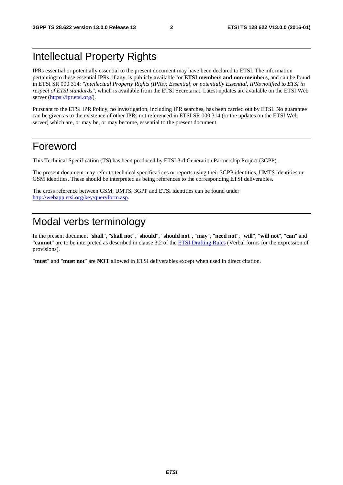### Intellectual Property Rights

IPRs essential or potentially essential to the present document may have been declared to ETSI. The information pertaining to these essential IPRs, if any, is publicly available for **ETSI members and non-members**, and can be found in ETSI SR 000 314: *"Intellectual Property Rights (IPRs); Essential, or potentially Essential, IPRs notified to ETSI in respect of ETSI standards"*, which is available from the ETSI Secretariat. Latest updates are available on the ETSI Web server [\(https://ipr.etsi.org/](https://ipr.etsi.org/)).

Pursuant to the ETSI IPR Policy, no investigation, including IPR searches, has been carried out by ETSI. No guarantee can be given as to the existence of other IPRs not referenced in ETSI SR 000 314 (or the updates on the ETSI Web server) which are, or may be, or may become, essential to the present document.

### Foreword

This Technical Specification (TS) has been produced by ETSI 3rd Generation Partnership Project (3GPP).

The present document may refer to technical specifications or reports using their 3GPP identities, UMTS identities or GSM identities. These should be interpreted as being references to the corresponding ETSI deliverables.

The cross reference between GSM, UMTS, 3GPP and ETSI identities can be found under [http://webapp.etsi.org/key/queryform.asp.](http://webapp.etsi.org/key/queryform.asp)

## Modal verbs terminology

In the present document "**shall**", "**shall not**", "**should**", "**should not**", "**may**", "**need not**", "**will**", "**will not**", "**can**" and "**cannot**" are to be interpreted as described in clause 3.2 of the [ETSI Drafting Rules](http://portal.etsi.org/Help/editHelp!/Howtostart/ETSIDraftingRules.aspx) (Verbal forms for the expression of provisions).

"**must**" and "**must not**" are **NOT** allowed in ETSI deliverables except when used in direct citation.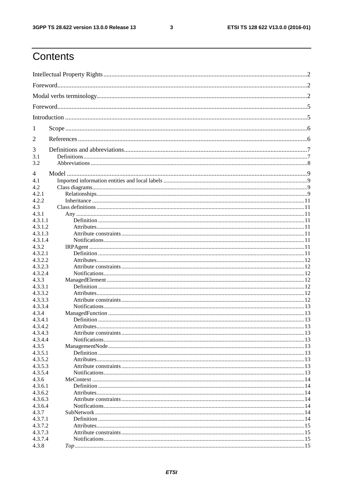$\mathbf{3}$ 

## Contents

| 1                  |  |
|--------------------|--|
| 2                  |  |
| 3                  |  |
| 3.1                |  |
| 3.2                |  |
| 4                  |  |
| 4.1                |  |
| 4.2                |  |
| 4.2.1              |  |
| 4.2.2              |  |
| 4.3                |  |
| 4.3.1              |  |
| 4.3.1.1            |  |
| 4.3.1.2            |  |
| 4.3.1.3            |  |
| 4.3.1.4            |  |
| 4.3.2              |  |
| 4.3.2.1            |  |
| 4.3.2.2            |  |
| 4.3.2.3            |  |
| 4.3.2.4            |  |
| 4.3.3              |  |
| 4.3.3.1            |  |
| 4.3.3.2            |  |
| 4.3.3.3            |  |
| 4.3.3.4            |  |
| 4.3.4              |  |
| 4.3.4.1            |  |
| 4.3.4.2            |  |
| 4.3.4.3            |  |
| 4.3.4.4            |  |
| 4.3.5              |  |
| 4.3.5.1            |  |
| 4.3.5.2            |  |
| 4.3.5.3            |  |
| 4.3.5.4            |  |
| 4.3.6              |  |
| 4.3.6.1            |  |
| 4.3.6.2            |  |
| 4.3.6.3<br>4.3.6.4 |  |
| 4.3.7              |  |
| 4.3.7.1            |  |
| 4.3.7.2            |  |
| 4.3.7.3            |  |
| 4.3.7.4            |  |
| 4.3.8              |  |
|                    |  |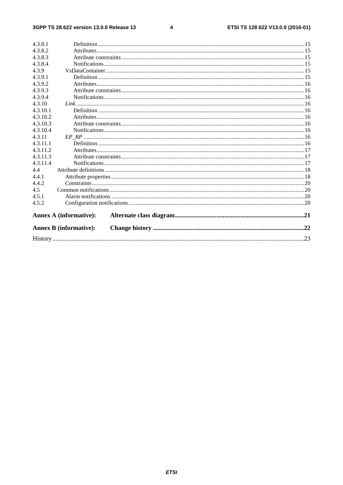#### $\overline{\mathbf{4}}$

|          | <b>Annex B (informative):</b> |  |
|----------|-------------------------------|--|
|          | <b>Annex A (informative):</b> |  |
| 4.5.2    |                               |  |
| 4.5.1    |                               |  |
| 4.5      |                               |  |
| 4.4.2    |                               |  |
| 4.4.1    |                               |  |
| 4.4      |                               |  |
| 4.3.11.4 |                               |  |
| 4.3.11.3 |                               |  |
| 4.3.11.2 |                               |  |
| 4.3.11.1 |                               |  |
| 4.3.11   |                               |  |
| 4.3.10.4 |                               |  |
| 4.3.10.3 |                               |  |
| 4.3.10.2 |                               |  |
| 4.3.10.1 |                               |  |
| 4.3.10   |                               |  |
| 4.3.9.4  |                               |  |
| 4.3.9.3  |                               |  |
| 4.3.9.2  |                               |  |
| 4.3.9.1  |                               |  |
| 4.3.9    |                               |  |
| 4.3.8.4  |                               |  |
| 4.3.8.3  |                               |  |
| 4.3.8.2  |                               |  |
| 4.3.8.1  |                               |  |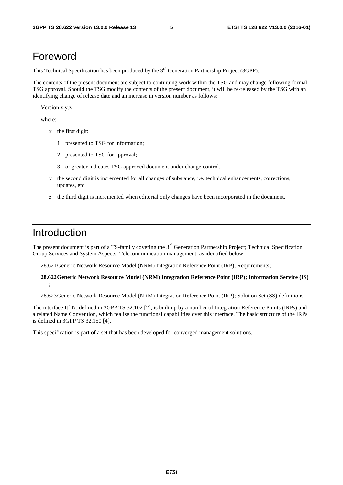### Foreword

This Technical Specification has been produced by the 3<sup>rd</sup> Generation Partnership Project (3GPP).

The contents of the present document are subject to continuing work within the TSG and may change following formal TSG approval. Should the TSG modify the contents of the present document, it will be re-released by the TSG with an identifying change of release date and an increase in version number as follows:

Version x.y.z

where:

- x the first digit:
	- 1 presented to TSG for information;
	- 2 presented to TSG for approval;
	- 3 or greater indicates TSG approved document under change control.
- y the second digit is incremented for all changes of substance, i.e. technical enhancements, corrections, updates, etc.
- z the third digit is incremented when editorial only changes have been incorporated in the document.

### Introduction

The present document is part of a TS-family covering the 3<sup>rd</sup> Generation Partnership Project; Technical Specification Group Services and System Aspects; Telecommunication management; as identified below:

28.621 Generic Network Resource Model (NRM) Integration Reference Point (IRP); Requirements;

#### **28.622 Generic Network Resource Model (NRM) Integration Reference Point (IRP); Information Service (IS) ;**

28.623 Generic Network Resource Model (NRM) Integration Reference Point (IRP); Solution Set (SS) definitions.

The interface Itf-N, defined in 3GPP TS 32.102 [2], is built up by a number of Integration Reference Points (IRPs) and a related Name Convention, which realise the functional capabilities over this interface. The basic structure of the IRPs is defined in 3GPP TS 32.150 [4].

This specification is part of a set that has been developed for converged management solutions.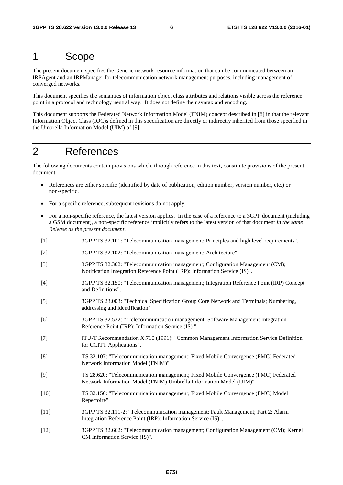### 1 Scope

The present document specifies the Generic network resource information that can be communicated between an IRPAgent and an IRPManager for telecommunication network management purposes, including management of converged networks.

This document specifies the semantics of information object class attributes and relations visible across the reference point in a protocol and technology neutral way. It does not define their syntax and encoding.

This document supports the Federated Network Information Model (FNIM) concept described in [8] in that the relevant Information Object Class (IOC)s defined in this specification are directly or indirectly inherited from those specified in the Umbrella Information Model (UIM) of [9].

## 2 References

The following documents contain provisions which, through reference in this text, constitute provisions of the present document.

- References are either specific (identified by date of publication, edition number, version number, etc.) or non-specific.
- For a specific reference, subsequent revisions do not apply.
- For a non-specific reference, the latest version applies. In the case of a reference to a 3GPP document (including a GSM document), a non-specific reference implicitly refers to the latest version of that document *in the same Release as the present document*.
- [1] 3GPP TS 32.101: "Telecommunication management; Principles and high level requirements".
- [2] 3GPP TS 32.102: "Telecommunication management; Architecture".
- [3] 3GPP TS 32.302: "Telecommunication management; Configuration Management (CM); Notification Integration Reference Point (IRP): Information Service (IS)".
- [4] 3GPP TS 32.150: "Telecommunication management; Integration Reference Point (IRP) Concept and Definitions".
- [5] 3GPP TS 23.003: "Technical Specification Group Core Network and Terminals; Numbering, addressing and identification"
- [6] 3GPP TS 32.532: " Telecommunication management; Software Management Integration Reference Point (IRP); Information Service (IS) "
- [7] ITU-T Recommendation X.710 (1991): "Common Management Information Service Definition for CCITT Applications".
- [8] TS 32.107: "Telecommunication management; Fixed Mobile Convergence (FMC) Federated Network Information Model (FNIM)"
- [9] TS 28.620: "Telecommunication management; Fixed Mobile Convergence (FMC) Federated Network Information Model (FNIM) Umbrella Information Model (UIM)"
- [10] TS 32.156: "Telecommunication management; Fixed Mobile Convergence (FMC) Model Repertoire"
- [11] 3GPP TS 32.111-2: "Telecommunication management; Fault Management; Part 2: Alarm Integration Reference Point (IRP): Information Service (IS)".
- [12] 3GPP TS 32.662: "Telecommunication management; Configuration Management (CM); Kernel CM Information Service (IS)".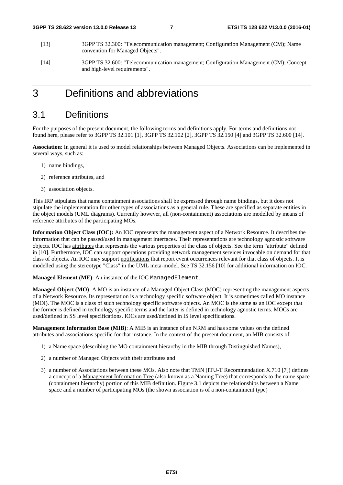- [13] 3GPP TS 32.300: "Telecommunication management; Configuration Management (CM); Name convention for Managed Objects".
- [14] 3GPP TS 32.600: "Telecommunication management; Configuration Management (CM); Concept and high-level requirements".

### 3 Definitions and abbreviations

### 3.1 Definitions

For the purposes of the present document, the following terms and definitions apply. For terms and definitions not found here, please refer to 3GPP TS 32.101 [1], 3GPP TS 32.102 [2], 3GPP TS 32.150 [4] and 3GPP TS 32.600 [14].

**Association**: In general it is used to model relationships between Managed Objects. Associations can be implemented in several ways, such as:

- 1) name bindings,
- 2) reference attributes, and
- 3) association objects.

This IRP stipulates that name containment associations shall be expressed through name bindings, but it does not stipulate the implementation for other types of associations as a general rule. These are specified as separate entities in the object models (UML diagrams). Currently however, all (non-containment) associations are modelled by means of reference attributes of the participating MOs.

**Information Object Class (IOC):** An IOC represents the management aspect of a Network Resource. It describes the information that can be passed/used in management interfaces. Their representations are technology agnostic software objects. IOC has attributes that represents the various properties of the class of objects. See the term "attribute" defined in [10]. Furthermore, IOC can support operations providing network management services invocable on demand for that class of objects. An IOC may support notifications that report event occurrences relevant for that class of objects. It is modelled using the stereotype "Class" in the UML meta-model. See TS 32.156 [10] for additional information on IOC.

**Managed Element (ME)**: An instance of the IOC ManagedElement.

**Managed Object (MO)**: A MO is an instance of a Managed Object Class (MOC) representing the management aspects of a Network Resource. Its representation is a technology specific software object. It is sometimes called MO instance (MOI). The MOC is a class of such technology specific software objects. An MOC is the same as an IOC except that the former is defined in technology specific terms and the latter is defined in technology agnostic terms. MOCs are used/defined in SS level specifications. IOCs are used/defined in IS level specifications.

**Management Information Base (MIB)**: A MIB is an instance of an NRM and has some values on the defined attributes and associations specific for that instance. In the context of the present document, an MIB consists of:

- 1) a Name space (describing the MO containment hierarchy in the MIB through Distinguished Names),
- 2) a number of Managed Objects with their attributes and
- 3) a number of Associations between these MOs. Also note that TMN (ITU-T Recommendation X.710 [7]) defines a concept of a Management Information Tree (also known as a Naming Tree) that corresponds to the name space (containment hierarchy) portion of this MIB definition. Figure 3.1 depicts the relationships between a Name space and a number of participating MOs (the shown association is of a non-containment type)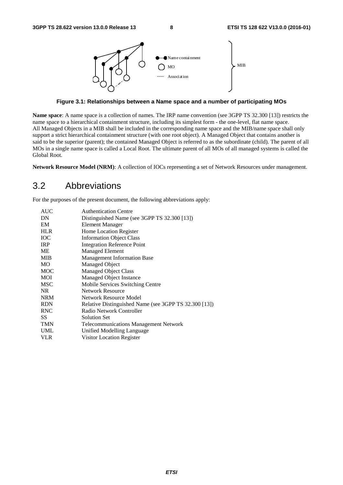

**Figure 3.1: Relationships between a Name space and a number of participating MOs** 

**Name space**: A name space is a collection of names. The IRP name convention (see 3GPP TS 32.300 [13]) restricts the name space to a hierarchical containment structure, including its simplest form - the one-level, flat name space. All Managed Objects in a MIB shall be included in the corresponding name space and the MIB/name space shall only support a strict hierarchical containment structure (with one root object). A Managed Object that contains another is said to be the superior (parent); the contained Managed Object is referred to as the subordinate (child). The parent of all MOs in a single name space is called a Local Root. The ultimate parent of all MOs of all managed systems is called the Global Root.

**Network Resource Model (NRM)**: A collection of IOCs representing a set of Network Resources under management.

### 3.2 Abbreviations

For the purposes of the present document, the following abbreviations apply:

| <b>AUC</b> | <b>Authentication Centre</b>                          |
|------------|-------------------------------------------------------|
| DN         | Distinguished Name (see 3GPP TS 32.300 [13])          |
| EM         | Element Manager                                       |
| <b>HLR</b> | Home Location Register                                |
| <b>IOC</b> | <b>Information Object Class</b>                       |
| <b>IRP</b> | <b>Integration Reference Point</b>                    |
| МE         | <b>Managed Element</b>                                |
| <b>MIB</b> | <b>Management Information Base</b>                    |
| MO         | <b>Managed Object</b>                                 |
| <b>MOC</b> | <b>Managed Object Class</b>                           |
| MOI        | Managed Object Instance                               |
| MSC        | Mobile Services Switching Centre                      |
| NR.        | <b>Network Resource</b>                               |
| <b>NRM</b> | Network Resource Model                                |
| <b>RDN</b> | Relative Distinguished Name (see 3GPP TS 32.300 [13]) |
| <b>RNC</b> | Radio Network Controller                              |
| SS         | <b>Solution Set</b>                                   |
| <b>TMN</b> | <b>Telecommunications Management Network</b>          |
| <b>UML</b> | Unified Modelling Language                            |
| <b>VLR</b> | Visitor Location Register                             |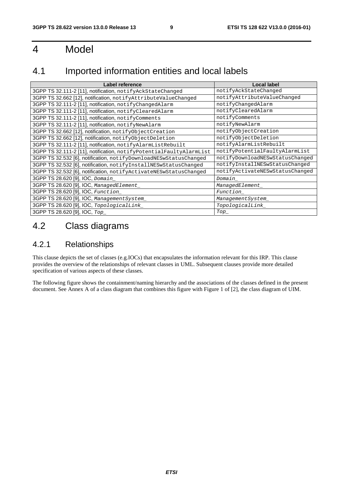## 4 Model

### 4.1 Imported information entities and local labels

| Label reference                                                     | Local label                     |
|---------------------------------------------------------------------|---------------------------------|
| 3GPP TS 32.111-2 [11], notification, notifyAckStateChanged          | notifyAckStateChanged           |
| 3GPP TS 32.662 [12], notification, notifyAttributeValueChanged      | notifyAttributeValueChanged     |
| 3GPP TS 32.111-2 [11], notification, notifyChangedAlarm             | notifyChangedAlarm              |
| 3GPP TS 32.111-2 [11], notification, notifyClearedAlarm             | notifyClearedAlarm              |
| 3GPP TS 32.111-2 [11], notification, notifyComments                 | notifyComments                  |
| 3GPP TS 32.111-2 [11], notification, notifyNewAlarm                 | notifyNewAlarm                  |
| 3GPP TS 32.662 [12], notification, notifyObjectCreation             | notifyObjectCreation            |
| 3GPP TS 32.662 [12], notification, notifyObjectDeletion             | notifyObjectDeletion            |
| 3GPP TS 32.111-2 [11], notification, notifyAlarmListRebuilt         | notifyAlarmListRebuilt          |
| 3GPP TS 32.111-2 [11], notification, notifyPotentialFaultyAlarmList | notifyPotentialFaultyAlarmList  |
| 3GPP TS 32.532 [6], notification, notifyDownloadNESwStatusChanged   | notifyDownloadNESwStatusChanged |
| 3GPP TS 32.532 [6], notification, notifyInstallNESwStatusChanged    | notifyInstallNESwStatusChanged  |
| 3GPP TS 32.532 [6], notification, notifyActivateNESwStatusChanged   | notifyActivateNESwStatusChanged |
| 3GPP TS 28.620 [9], IOC, Domain                                     | Domain                          |
| 3GPP TS 28.620 [9], IOC, ManagedElement_                            | ManagedElement_                 |
| 3GPP TS 28.620 [9], IOC, Function_                                  | Function                        |
| 3GPP TS 28.620 [9], IOC, ManagementSystem_                          | ManagementSystem_               |
| 3GPP TS 28.620 [9], IOC, TopologicalLink_                           | TopologicalLink_                |
| 3GPP TS 28.620 [9], IOC, Top                                        | $\mathit{Top}\_$                |

### 4.2 Class diagrams

### 4.2.1 Relationships

This clause depicts the set of classes (e.g.IOCs) that encapsulates the information relevant for this IRP. This clause provides the overview of the relationships of relevant classes in UML. Subsequent clauses provide more detailed specification of various aspects of these classes.

The following figure shows the containment/naming hierarchy and the associations of the classes defined in the present document. See Annex A of a class diagram that combines this figure with Figure 1 of [2], the class diagram of UIM.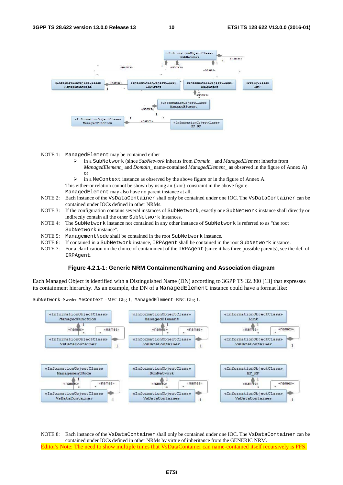

NOTE 1: ManagedElement may be contained either

- in a SubNetwork (since *SubNetwork* inherits from *Domain*\_ and *ManagedElement* inherits from *ManagedElement*\_ and *Domain*\_ name-contained *ManagedElement\_* as observed in the figure of Annex A) or
- in a MeContext instance as observed by the above figure or in the figure of Annex A.

This either-or relation cannot be shown by using an {xor} constraint in the above figure.

ManagedElement may also have no parent instance at all.

- NOTE 2: Each instance of the VsDataContainer shall only be contained under one IOC. The VsDataContainer can be contained under IOCs defined in other NRMs.
- NOTE 3: If the configuration contains several instances of SubNetwork, exactly one SubNetwork instance shall directly or indirectly contain all the other SubNetwork instances.
- NOTE 4: The SubNetwork instance not contained in any other instance of SubNetwork is referred to as "the root SubNetwork instance".
- NOTE 5: ManagementNode shall be contained in the root SubNetwork instance.
- NOTE 6: If contained in a SubNetwork instance, IRPAgent shall be contained in the root SubNetwork instance.
- NOTE 7: For a clarification on the choice of containment of the IRPAgent (since it has three possible parents), see the def. of IRPAgent.

#### **Figure 4.2.1-1: Generic NRM Containment/Naming and Association diagram**

Each Managed Object is identified with a Distinguished Name (DN) according to 3GPP TS 32.300 [13] that expresses its containment hierarchy. As an example, the DN of a ManagedElement instance could have a format like:



SubNetwork=Sweden,MeContext =MEC-Gbg-1, ManagedElement=RNC-Gbg-1.

NOTE 8: Each instance of the VsDataContainer shall only be contained under one IOC. The VsDataContainer can be contained under IOCs defined in other NRMs by virtue of inheritance from the GENERIC NRM. Editor's Note: The need to show multiple times that VsDataContainer can name-contained itself recursively is FFS.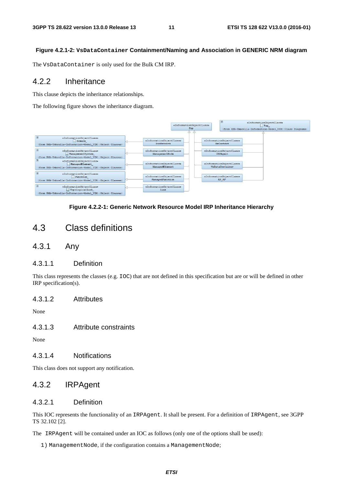#### **Figure 4.2.1-2: VsDataContainer Containment/Naming and Association in GENERIC NRM diagram**

The VsDataContainer is only used for the Bulk CM IRP.

#### 4.2.2 Inheritance

This clause depicts the inheritance relationships.

The following figure shows the inheritance diagram.



#### **Figure 4.2.2-1: Generic Network Resource Model IRP Inheritance Hierarchy**

### 4.3 Class definitions

4.3.1 Any

#### 4.3.1.1 Definition

This class represents the classes (e.g. IOC) that are not defined in this specification but are or will be defined in other IRP specification(s).

#### 4.3.1.2 Attributes

None

#### 4.3.1.3 Attribute constraints

None

#### 4.3.1.4 Notifications

This class does not support any notification.

### 4.3.2 IRPAgent

#### 4.3.2.1 Definition

This IOC represents the functionality of an IRPAgent. It shall be present. For a definition of IRPAgent, see 3GPP TS 32.102 [2].

The IRPAgent will be contained under an IOC as follows (only one of the options shall be used):

1) ManagementNode, if the configuration contains a ManagementNode;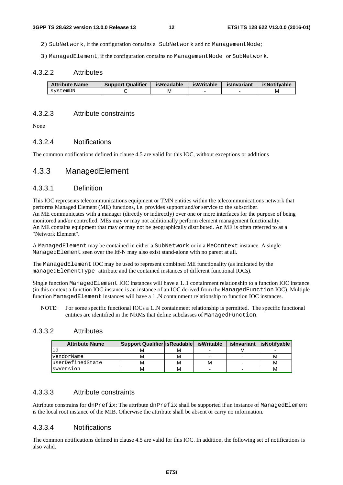2) SubNetwork, if the configuration contains a SubNetwork and no ManagementNode;

3) ManagedElement, if the configuration contains no ManagementNode or SubNetwork.

#### 4.3.2.2 Attributes

| <b>Attribute Name</b> | <b>Support Qualifier</b> | isReadable | <b>isWritable</b> | islnvariant | isNotifvable |
|-----------------------|--------------------------|------------|-------------------|-------------|--------------|
| svstemDN              |                          | М          |                   |             | M            |

#### 4.3.2.3 Attribute constraints

None

#### 4.3.2.4 Notifications

The common notifications defined in clause 4.5 are valid for this IOC, without exceptions or additions

#### 4.3.3 ManagedElement

#### 4.3.3.1 Definition

This IOC represents telecommunications equipment or TMN entities within the telecommunications network that performs Managed Element (ME) functions, i.e. provides support and/or service to the subscriber. An ME communicates with a manager (directly or indirectly) over one or more interfaces for the purpose of being monitored and/or controlled. MEs may or may not additionally perform element management functionality. An ME contains equipment that may or may not be geographically distributed. An ME is often referred to as a "Network Element".

A ManagedElement may be contained in either a SubNetwork or in a MeContext instance. A single ManagedElement seen over the Itf-N may also exist stand-alone with no parent at all.

The ManagedElement IOC may be used to represent combined ME functionality (as indicated by the managedElementType attribute and the contained instances of different functional IOCs).

Single function ManagedElement IOC instances will have a 1..1 containment relationship to a function IOC instance (in this context a function IOC instance is an instance of an IOC derived from the ManagedFunction IOC). Multiple function ManagedElement instances will have a 1..N containment relationship to function IOC instances.

NOTE: For some specific functional IOCs a 1..N containment relationship is permitted. The specific functional entities are identified in the NRMs that define subclasses of ManagedFunction.

#### 4.3.3.2 Attributes

| <b>Attribute Name</b> | <b>Support Qualifier is Readable</b> |   | isWritable               |   | isInvariant lisNotifvable |
|-----------------------|--------------------------------------|---|--------------------------|---|---------------------------|
| ıd                    | M                                    | м |                          | м |                           |
| vendorName            | М                                    | м | -                        | - | м                         |
| luserDefinedState     | м                                    | м | м                        | - | М                         |
| swVersion             | М                                    | м | $\overline{\phantom{0}}$ | - | м                         |

#### 4.3.3.3 Attribute constraints

Attribute constrains for dnPrefix: The attribute dnPrefix shall be supported if an instance of ManagedElement is the local root instance of the MIB. Otherwise the attribute shall be absent or carry no information.

#### 4.3.3.4 Notifications

The common notifications defined in clause 4.5 are valid for this IOC. In addition, the following set of notifications is also valid.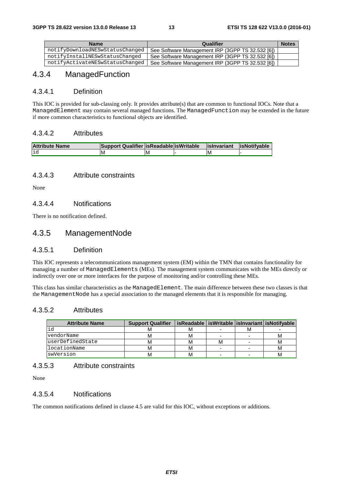| <b>Name</b>                     | Qualifier                                        | <b>Notes</b> |
|---------------------------------|--------------------------------------------------|--------------|
| notifyDownloadNESwStatusChanged | See Software Management IRP (3GPP TS 32.532 [6]) |              |
| notifyInstallNESwStatusChanged  | See Software Management IRP (3GPP TS 32.532 [6]) |              |
| notifyActivateNESwStatusChanged | See Software Management IRP (3GPP TS 32.532 [6]) |              |

### 4.3.4 ManagedFunction

#### 4.3.4.1 Definition

This IOC is provided for sub-classing only. It provides attribute(s) that are common to functional IOCs. Note that a ManagedElement may contain several managed functions. The ManagedFunction may be extended in the future if more common characteristics to functional objects are identified.

#### 4.3.4.2 Attributes

| <b>Attribute Name</b> | Support Qualifier   isReadable   isWritable |    | lislnyariant | lisNotifvable |
|-----------------------|---------------------------------------------|----|--------------|---------------|
| id                    | ΙM                                          | ΙM | ΙM           |               |

#### 4.3.4.3 Attribute constraints

None

#### 4.3.4.4 Notifications

There is no notification defined.

### 4.3.5 ManagementNode

#### 4.3.5.1 Definition

This IOC represents a telecommunications management system (EM) within the TMN that contains functionality for managing a number of ManagedElements (MEs). The management system communicates with the MEs directly or indirectly over one or more interfaces for the purpose of monitoring and/or controlling these MEs.

This class has similar characteristics as the ManagedElement. The main difference between these two classes is that the ManagementNode has a special association to the managed elements that it is responsible for managing.

#### 4.3.5.2 Attributes

| <b>Attribute Name</b> | <b>Support Qualifier</b> |   |   | isReadable   isWritable   isInvariant   isNotifyable |
|-----------------------|--------------------------|---|---|------------------------------------------------------|
| id                    |                          | м |   |                                                      |
| vendorName            |                          | М | - |                                                      |
| luserDefinedState     |                          | М | M |                                                      |
| llocationName         |                          | М | - |                                                      |
| swVersion             |                          |   |   |                                                      |

#### 4.3.5.3 Attribute constraints

None

#### 4.3.5.4 Notifications

The common notifications defined in clause 4.5 are valid for this IOC, without exceptions or additions.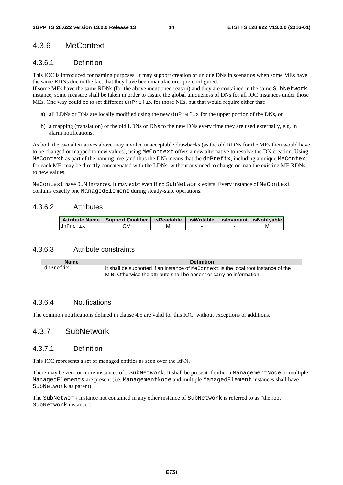### 4.3.6 MeContext

#### 4.3.6.1 Definition

This IOC is introduced for naming purposes. It may support creation of unique DNs in scenarios when some MEs have the same RDNs due to the fact that they have been manufacturer pre-configured.

If some MEs have the same RDNs (for the above mentioned reason) and they are contained in the same SubNetwork instance, some measure shall be taken in order to assure the global uniqueness of DNs for all IOC instances under those MEs. One way could be to set different dnPre $f$  ix for those NEs, but that would require either that:

- a) all LDNs or DNs are locally modified using the new dnPrefix for the upper portion of the DNs, or
- b) a mapping (translation) of the old LDNs or DNs to the new DNs every time they are used externally, e.g. in alarm notifications.

As both the two alternatives above may involve unacceptable drawbacks (as the old RDNs for the MEs then would have to be changed or mapped to new values), using MeContext offers a new alternative to resolve the DN creation. Using MeContext as part of the naming tree (and thus the DN) means that the dnPrefix, including a unique MeContext for each ME, may be directly concatenated with the LDNs, without any need to change or map the existing ME RDNs to new values.

MeContext have 0..N instances. It may exist even if no SubNetwork exists. Every instance of MeContext contains exactly one ManagedElement during steady-state operations.

#### 4.3.6.2 Attributes

|          | Attribute Name   Support Qualifier   isReadable   isWritable   isInvariant   isNotifyable |   |  |  |
|----------|-------------------------------------------------------------------------------------------|---|--|--|
| dnPrefix | СM                                                                                        | м |  |  |

#### 4.3.6.3 Attribute constraints

| <b>Name</b> | <b>Definition</b>                                                                                                                                            |
|-------------|--------------------------------------------------------------------------------------------------------------------------------------------------------------|
| dnPrefix    | It shall be supported if an instance of MeContext is the local root instance of the<br>MIB. Otherwise the attribute shall be absent or carry no information. |

#### 4.3.6.4 Notifications

The common notifications defined in clause 4.5 are valid for this IOC, without exceptions or additions.

#### 4.3.7 SubNetwork

#### 4.3.7.1 Definition

This IOC represents a set of managed entities as seen over the Itf-N.

There may be zero or more instances of a SubNetwork. It shall be present if either a ManagementNode or multiple ManagedElements are present (i.e. ManagementNode and multiple ManagedElement instances shall have SubNetwork as parent).

The SubNetwork instance not contained in any other instance of SubNetwork is referred to as "the root SubNetwork instance".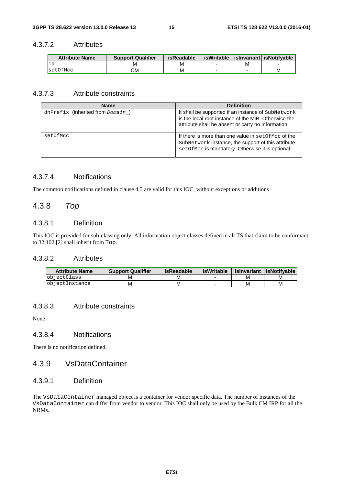#### 4.3.7.2 Attributes

| <b>Attribute Name</b> | <b>Support Qualifier</b> | <b>isReadable</b> | isWritable |   | lislnyariant is Notifyable |
|-----------------------|--------------------------|-------------------|------------|---|----------------------------|
|                       | M                        | M                 |            | м |                            |
| setOfMcc              | СM                       | M                 |            |   | М                          |

#### 4.3.7.3 Attribute constraints

| <b>Name</b>                         | <b>Definition</b>                                                                                                                                                |
|-------------------------------------|------------------------------------------------------------------------------------------------------------------------------------------------------------------|
| dnPrefix (inherited from $Domain$ ) | It shall be supported if an instance of SubNetwork<br>is the local root instance of the MIB. Otherwise the<br>attribute shall be absent or carry no information. |
| setOfMcc                            | If there is more than one value in set Of Mcc of the<br>SubNetwork instance, the support of this attribute<br>setOfMcc is mandatory. Otherwise it is optional.   |

#### 4.3.7.4 Notifications

The common notifications defined in clause 4.5 are valid for this IOC, without exceptions or additions

### 4.3.8 *Top*

#### 4.3.8.1 Definition

This IOC is provided for sub-classing only. All information object classes defined in all TS that claim to be conformant to 32.102 [2] shall inherit from Top.

#### 4.3.8.2 Attributes

| <b>Attribute Name</b> | <b>Support Qualifier</b> | isReadable | isWritable | islnvariant | <b>lisNotifvable</b> |
|-----------------------|--------------------------|------------|------------|-------------|----------------------|
| <b>l</b> objectClass  | ΙVΙ                      | м          |            |             | М                    |
| <b>objectInstance</b> | M                        | М          |            | M           | М                    |

#### 4.3.8.3 Attribute constraints

None

#### 4.3.8.4 Notifications

There is no notification defined.

#### 4.3.9 VsDataContainer

#### 4.3.9.1 Definition

The VsDataContainer managed object is a container for vendor specific data. The number of instances of the VsDataContainer can differ from vendor to vendor. This IOC shall only be used by the Bulk CM IRP for all the NRMs.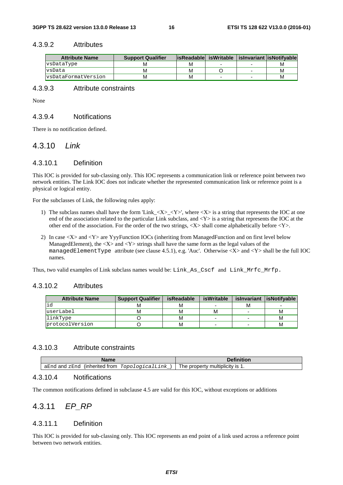#### 4.3.9.2 Attributes

| <b>Attribute Name</b>      | <b>Support Qualifier</b> |   |                          |   | lisReadable isWritable   isInvariant lisNotifvable |
|----------------------------|--------------------------|---|--------------------------|---|----------------------------------------------------|
| vsDataType                 | M                        | м |                          |   | M                                                  |
| <b>vsData</b>              | M                        | М |                          | - | M                                                  |
| <b>s</b> DataFormatVersion | м                        | м | $\overline{\phantom{0}}$ | - | м                                                  |

#### 4.3.9.3 Attribute constraints

None

#### 4.3.9.4 Notifications

There is no notification defined.

#### 4.3.10 *Link*

#### 4.3.10.1 Definition

This IOC is provided for sub-classing only. This IOC represents a communication link or reference point between two network entities. The Link IOC does not indicate whether the represented communication link or reference point is a physical or logical entity.

For the subclasses of Link, the following rules apply:

- 1) The subclass names shall have the form 'Link\_<X>\_<Y>', where <X> is a string that represents the IOC at one end of the association related to the particular Link subclass, and  $\langle Y \rangle$  is a string that represents the IOC at the other end of the association. For the order of the two strings, <X> shall come alphabetically before <Y>.
- 2) In case <X> and <Y> are YyyFunction IOCs (inheriting from ManagedFunction and on first level below ManagedElement), the  $\langle X \rangle$  and  $\langle Y \rangle$  strings shall have the same form as the legal values of the managedElementType attribute (see clause 4.5.1), e.g. 'Auc'. Otherwise  $\langle X \rangle$  and  $\langle Y \rangle$  shall be the full IOC names.

Thus, two valid examples of Link subclass names would be: Link\_As\_Cscf and Link\_Mrfc\_Mrfp.

#### 4.3.10.2 Attributes

| <b>Attribute Name</b> | <b>Support Qualifier</b> | <b>isReadable</b> | <b>isWritable</b>        |   | islnvariant   isNotifyable |
|-----------------------|--------------------------|-------------------|--------------------------|---|----------------------------|
| lid                   |                          | м                 |                          | м |                            |
| userLabel             | M                        | м                 | м                        |   | м                          |
| linkType              |                          | М                 | $\overline{\phantom{a}}$ |   | м                          |
| protocolVersion       |                          | м                 | -                        |   | М                          |

#### 4.3.10.3 Attribute constraints

| Name                                                          | <b>Definition</b>                |
|---------------------------------------------------------------|----------------------------------|
| aEnd<br>TopologicalLink<br>zEnd<br>(inherited)<br>and<br>trom | I he property<br>multiplicity is |

#### 4.3.10.4 Notifications

The common notifications defined in subclause 4.5 are valid for this IOC, without exceptions or additions

### 4.3.11 *EP\_RP*

#### 4.3.11.1 Definition

This IOC is provided for sub-classing only. This IOC represents an end point of a link used across a reference point between two network entities.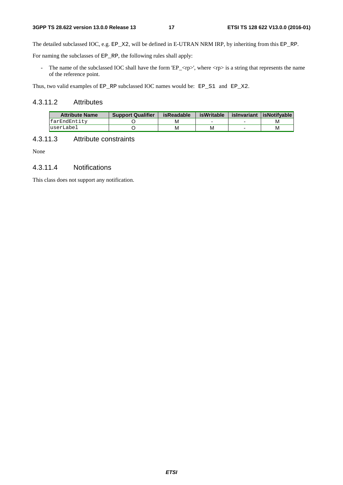The detailed subclassed IOC, e.g. EP\_X2, will be defined in E-UTRAN NRM IRP, by inheriting from this EP\_RP.

For naming the subclasses of EP\_RP, the following rules shall apply:

- The name of the subclassed IOC shall have the form 'EP\_<rp>', where  $\langle np \rangle$  is a string that represents the name of the reference point.

Thus, two valid examples of EP\_RP subclassed IOC names would be: EP\_S1 and EP\_X2.

#### 4.3.11.2 Attributes

| <b>Attribute Name</b> | <b>Support Qualifier</b> | isReadable | isWritable | islnyariant lisNotifyable |
|-----------------------|--------------------------|------------|------------|---------------------------|
| farEndEntity          |                          | M          |            | М                         |
| luserLabel            |                          | M          | M          | м                         |

#### 4.3.11.3 Attribute constraints

None

#### 4.3.11.4 Notifications

This class does not support any notification.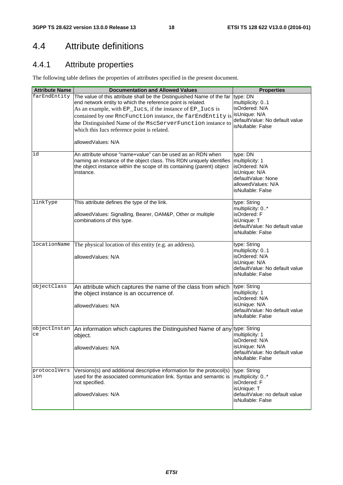## 4.4 Attribute definitions

### 4.4.1 Attribute properties

The following table defines the properties of attributes specified in the present document.

| <b>Attribute Name</b> | <b>Documentation and Allowed Values</b>                                                                                                                                                                                                                                                                                                                                                               | <b>Properties</b>                                                                                                               |
|-----------------------|-------------------------------------------------------------------------------------------------------------------------------------------------------------------------------------------------------------------------------------------------------------------------------------------------------------------------------------------------------------------------------------------------------|---------------------------------------------------------------------------------------------------------------------------------|
| farEndEntity          | The value of this attribute shall be the Distinguished Name of the far<br>end network entity to which the reference point is related.<br>As an example, with EP_Iucs, if the instance of EP_Iucs is<br>contained by one RncFunction instance, the farEndEntity is<br>the Distinguished Name of the MscServerFunction instance to<br>which this Iucs reference point is related.<br>allowedValues: N/A | type: DN<br>multiplicity: 01<br>isOrdered: N/A<br>isUnique: N/A<br>defaultValue: No default value<br>isNullable: False          |
| id                    | An attribute whose "name+value" can be used as an RDN when<br>naming an instance of the object class. This RDN uniquely identifies<br>the object instance within the scope of its containing (parent) object<br>instance.                                                                                                                                                                             | type: DN<br>multiplicity: 1<br>isOrdered: N/A<br>isUnique: N/A<br>defaultValue: None<br>allowedValues: N/A<br>isNullable: False |
| linkType              | This attribute defines the type of the link.<br>allowedValues: Signalling, Bearer, OAM&P, Other or multiple<br>combinations of this type.                                                                                                                                                                                                                                                             | type: String<br>multiplicity: 0*<br>isOrdered: F<br>isUnique: T<br>defaultValue: No default value<br>isNullable: False          |
| locationName          | The physical location of this entity (e.g. an address).<br>allowedValues: N/A                                                                                                                                                                                                                                                                                                                         | type: String<br>multiplicity: 01<br>isOrdered: N/A<br>isUnique: N/A<br>defaultValue: No default value<br>isNullable: False      |
| objectClass           | An attribute which captures the name of the class from which<br>the object instance is an occurrence of.<br>allowedValues: N/A                                                                                                                                                                                                                                                                        | type: String<br>multiplicity: 1<br>isOrdered: N/A<br>isUnique: N/A<br>defaultValue: No default value<br>isNullable: False       |
| objectInstan<br>ce    | An information which captures the Distinguished Name of any type: String<br>object.<br>allowedValues: N/A                                                                                                                                                                                                                                                                                             | multiplicity: 1<br>isOrdered: N/A<br>isUnique: N/A<br>defaultValue: No default value<br>isNullable: False                       |
| protocolVers<br>ion   | Versions(s) and additional descriptive information for the protocol(s)<br>used for the associated communication link. Syntax and semantic is<br>not specified.<br>allowedValues: N/A                                                                                                                                                                                                                  | type: String<br>multiplicity: 0*<br>isOrdered: F<br>isUnique: T<br>defaultValue: no default value<br>isNullable: False          |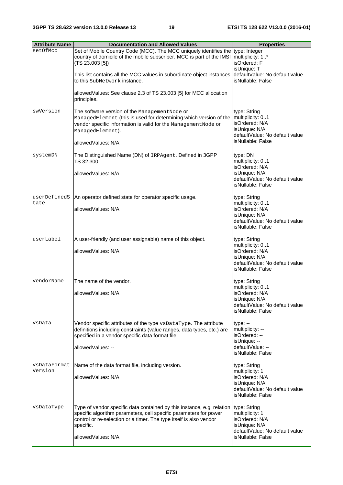| <b>Attribute Name</b>   | <b>Documentation and Allowed Values</b>                                         | <b>Properties</b>                                   |
|-------------------------|---------------------------------------------------------------------------------|-----------------------------------------------------|
| setOfMcc                | Set of Mobile Country Code (MCC). The MCC uniquely identifies the type: Integer |                                                     |
|                         | country of domicile of the mobile subscriber. MCC is part of the IMSI           | multiplicity: 1*                                    |
|                         | (TS 23.003 [5])                                                                 | isOrdered: F                                        |
|                         |                                                                                 | isUnique: T                                         |
|                         | This list contains all the MCC values in subordinate object instances           | defaultValue: No default value<br>isNullable: False |
|                         | to this SubNetwork instance.                                                    |                                                     |
|                         | allowedValues: See clause 2.3 of TS 23.003 [5] for MCC allocation               |                                                     |
|                         | principles.                                                                     |                                                     |
|                         |                                                                                 |                                                     |
| swVersion               | The software version of the Management Node or                                  | type: String                                        |
|                         | ManagedElement (this is used for determining which version of the               | multiplicity: 01<br>isOrdered: N/A                  |
|                         | vendor specific information is valid for the Management Node or                 | isUnique: N/A                                       |
|                         | ManagedElement).                                                                | defaultValue: No default value                      |
|                         | allowedValues: N/A                                                              | isNullable: False                                   |
|                         |                                                                                 |                                                     |
| systemDN                | The Distinguished Name (DN) of IRPAgent. Defined in 3GPP                        | type: DN                                            |
|                         | TS 32.300.                                                                      | multiplicity: 01                                    |
|                         | allowedValues: N/A                                                              | isOrdered: N/A<br>isUnique: N/A                     |
|                         |                                                                                 | defaultValue: No default value                      |
|                         |                                                                                 | isNullable: False                                   |
|                         |                                                                                 |                                                     |
| userDefinedS<br>tate    | An operator defined state for operator specific usage.                          | type: String<br>multiplicity: 01                    |
|                         | allowedValues: N/A                                                              | isOrdered: N/A                                      |
|                         |                                                                                 | isUnique: N/A                                       |
|                         |                                                                                 | defaultValue: No default value                      |
|                         |                                                                                 | isNullable: False                                   |
| userLabel               | A user-friendly (and user assignable) name of this object.                      | type: String                                        |
|                         |                                                                                 | multiplicity: 01                                    |
|                         | allowed Values: N/A                                                             | isOrdered: N/A                                      |
|                         |                                                                                 | isUnique: N/A                                       |
|                         |                                                                                 | defaultValue: No default value                      |
|                         |                                                                                 | isNullable: False                                   |
| vendorName              | The name of the vendor.                                                         | type: String                                        |
|                         |                                                                                 | multiplicity: 01                                    |
|                         | allowedValues: N/A                                                              | isOrdered: N/A                                      |
|                         |                                                                                 | isUnique: N/A<br>defaultValue: No default value     |
|                         |                                                                                 | isNullable: False                                   |
|                         |                                                                                 |                                                     |
| vsData                  | Vendor specific attributes of the type vsDataType. The attribute                | $type: -$                                           |
|                         | definitions including constraints (value ranges, data types, etc.) are          | multiplicity: --<br>isOrdered: --                   |
|                         | specified in a vendor specific data format file.                                | isUnique: --                                        |
|                         | allowedValues: --                                                               | defaultValue: --                                    |
|                         |                                                                                 | isNullable: False                                   |
|                         |                                                                                 |                                                     |
| vsDataFormat<br>Version | Name of the data format file, including version.                                | type: String<br>multiplicity: 1                     |
|                         | allowedValues: N/A                                                              | isOrdered: N/A                                      |
|                         |                                                                                 | isUnique: N/A                                       |
|                         |                                                                                 | defaultValue: No default value                      |
|                         |                                                                                 | isNullable: False                                   |
| vsDataType              | Type of vendor specific data contained by this instance, e.g. relation          | type: String                                        |
|                         | specific algorithm parameters, cell specific parameters for power               | multiplicity: 1                                     |
|                         | control or re-selection or a timer. The type itself is also vendor              | isOrdered: N/A                                      |
|                         | specific.                                                                       | isUnique: N/A                                       |
|                         | allowedValues: N/A                                                              | defaultValue: No default value<br>isNullable: False |
|                         |                                                                                 |                                                     |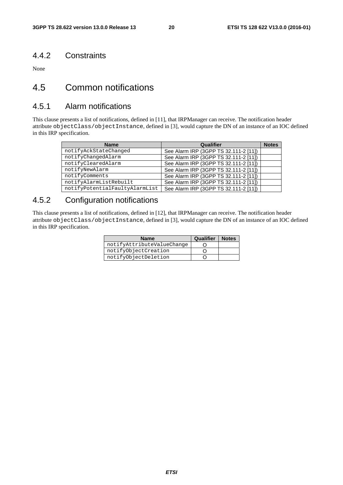#### 4.4.2 Constraints

None

### 4.5 Common notifications

### 4.5.1 Alarm notifications

This clause presents a list of notifications, defined in [11], that IRPManager can receive. The notification header attribute objectClass/objectInstance, defined in [3], would capture the DN of an instance of an IOC defined in this IRP specification.

| <b>Name</b>                    | Qualifier                             | <b>Notes</b> |
|--------------------------------|---------------------------------------|--------------|
| notifyAckStateChanged          | See Alarm IRP (3GPP TS 32.111-2 [11]) |              |
| notifyChangedAlarm             | See Alarm IRP (3GPP TS 32.111-2 [11]) |              |
| notifyClearedAlarm             | See Alarm IRP (3GPP TS 32.111-2 [11]) |              |
| notifyNewAlarm                 | See Alarm IRP (3GPP TS 32.111-2 [11]) |              |
| notifyComments                 | See Alarm IRP (3GPP TS 32.111-2 [11]) |              |
| notifyAlarmListRebuilt         | See Alarm IRP (3GPP TS 32.111-2 [11]) |              |
| notifyPotentialFaultyAlarmList | See Alarm IRP (3GPP TS 32.111-2 [11]) |              |

### 4.5.2 Configuration notifications

This clause presents a list of notifications, defined in [12], that IRPManager can receive. The notification header attribute objectClass/objectInstance, defined in [3], would capture the DN of an instance of an IOC defined in this IRP specification.

| <b>Name</b>                | Qualifier | <b>Notes</b> |
|----------------------------|-----------|--------------|
| notifyAttributeValueChange |           |              |
| notifyObjectCreation       |           |              |
| notifyObjectDeletion       |           |              |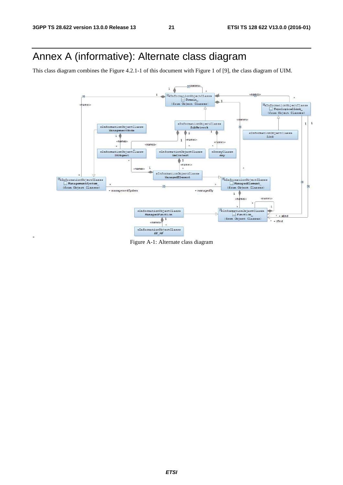## Annex A (informative): Alternate class diagram

This class diagram combines the Figure 4.2.1-1 of this document with Figure 1 of [9], the class diagram of UIM.

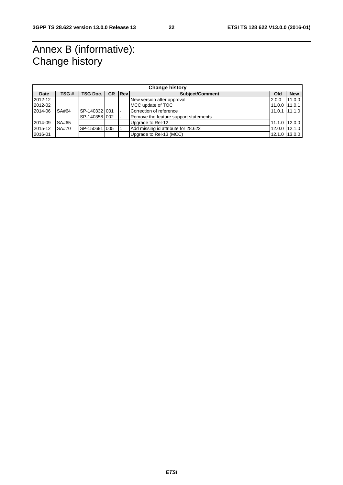## Annex B (informative): Change history

|         | <b>Change history</b> |                   |     |              |                                       |                 |               |
|---------|-----------------------|-------------------|-----|--------------|---------------------------------------|-----------------|---------------|
| Date    | TSG#                  | <b>TSG Doc. I</b> | CR. | <b>IRevI</b> | Subject/Comment                       | Old             | <b>New</b>    |
| 2012-12 |                       |                   |     |              | New version after approval            | 2.0.0           | 11.0.0        |
| 2012-02 |                       |                   |     |              | IMCC update of TOC                    | 11.0.0 111.0.1  |               |
| 2014-06 | SA#64                 | SP-140332 001     |     |              | Correction of reference               | $11.0.1$ 11.1.0 |               |
|         |                       | SP-140358 002     |     |              | Remove the feature support statements |                 |               |
| 2014-09 | SA#65                 |                   |     |              | Upgrade to Rel-12                     | 11.1.0 12.0.0   |               |
| 2015-12 | SA#70                 | SP-150691 005     |     |              | Add missing id attribute for 28.622   | 12.0.0 12.1.0   |               |
| 2016-01 |                       |                   |     |              | Upgrade to Rel-13 (MCC)               |                 | 12.1.0 13.0.0 |